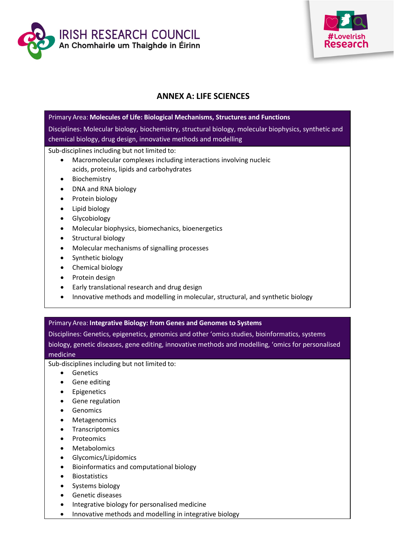



# **ANNEX A: LIFE SCIENCES**

| Primary Area: Molecules of Life: Biological Mechanisms, Structures and Functions                                                                                         |
|--------------------------------------------------------------------------------------------------------------------------------------------------------------------------|
| Disciplines: Molecular biology, biochemistry, structural biology, molecular biophysics, synthetic and<br>chemical biology, drug design, innovative methods and modelling |
| Sub-disciplines including but not limited to:                                                                                                                            |
| Macromolecular complexes including interactions involving nucleic<br>$\bullet$                                                                                           |
| acids, proteins, lipids and carbohydrates                                                                                                                                |
| Biochemistry<br>$\bullet$                                                                                                                                                |
| DNA and RNA biology<br>$\bullet$                                                                                                                                         |
| Protein biology<br>$\bullet$                                                                                                                                             |
| Lipid biology<br>$\bullet$                                                                                                                                               |
| Glycobiology                                                                                                                                                             |
| Molecular biophysics, biomechanics, bioenergetics<br>$\bullet$                                                                                                           |
| Structural biology<br>$\bullet$                                                                                                                                          |
| Molecular mechanisms of signalling processes<br>$\bullet$                                                                                                                |
| Synthetic biology                                                                                                                                                        |
| Chemical biology<br>$\bullet$                                                                                                                                            |
| Protein design                                                                                                                                                           |
|                                                                                                                                                                          |

- Early translational research and drug design
- Innovative methods and modelling in molecular, structural, and synthetic biology

## Primary Area: **Integrative Biology: from Genes and Genomes to Systems**

Disciplines: Genetics, epigenetics, genomics and other 'omics studies, bioinformatics, systems biology, genetic diseases, gene editing, innovative methods and modelling, 'omics for personalised medicine

- Genetics
- Gene editing
- Epigenetics
- Gene regulation
- Genomics
- Metagenomics
- Transcriptomics
- Proteomics
- Metabolomics
- Glycomics/Lipidomics
- Bioinformatics and computational biology
- Biostatistics
- Systems biology
- Genetic diseases
- Integrative biology for personalised medicine
- Innovative methods and modelling in integrative biology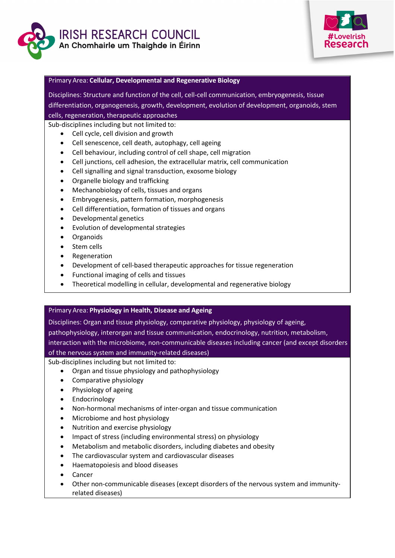



## Primary Area: **Cellular, Developmental and Regenerative Biology**

Disciplines: Structure and function of the cell, cell-cell communication, embryogenesis, tissue differentiation, organogenesis, growth, development, evolution of development, organoids, stem cells, regeneration, therapeutic approaches

Sub-disciplines including but not limited to:

- Cell cycle, cell division and growth
- Cell senescence, cell death, autophagy, cell ageing
- Cell behaviour, including control of cell shape, cell migration
- Cell junctions, cell adhesion, the extracellular matrix, cell communication
- Cell signalling and signal transduction, exosome biology
- Organelle biology and trafficking
- Mechanobiology of cells, tissues and organs
- Embryogenesis, pattern formation, morphogenesis
- Cell differentiation, formation of tissues and organs
- Developmental genetics
- Evolution of developmental strategies
- Organoids
- Stem cells
- Regeneration
- Development of cell-based therapeutic approaches for tissue regeneration
- Functional imaging of cells and tissues
- Theoretical modelling in cellular, developmental and regenerative biology

## Primary Area: **Physiology in Health, Disease and Ageing**

Disciplines: Organ and tissue physiology, comparative physiology, physiology of ageing, pathophysiology, interorgan and tissue communication, endocrinology, nutrition, metabolism, interaction with the microbiome, non-communicable diseases including cancer (and except disorders of the nervous system and immunity-related diseases)

- Organ and tissue physiology and pathophysiology
- Comparative physiology
- Physiology of ageing
- Endocrinology
- Non-hormonal mechanisms of inter-organ and tissue communication
- Microbiome and host physiology
- Nutrition and exercise physiology
- Impact of stress (including environmental stress) on physiology
- Metabolism and metabolic disorders, including diabetes and obesity
- The cardiovascular system and cardiovascular diseases
- Haematopoiesis and blood diseases
- Cancer
- Other non-communicable diseases (except disorders of the nervous system and immunityrelated diseases)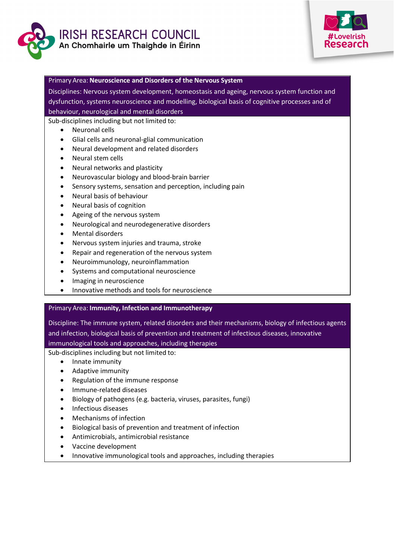



#### Primary Area: **Neuroscience and Disorders of the Nervous System**

Disciplines: Nervous system development, homeostasis and ageing, nervous system function and dysfunction, systems neuroscience and modelling, biological basis of cognitive processes and of behaviour, neurological and mental disorders

Sub-disciplines including but not limited to:

- Neuronal cells
- Glial cells and neuronal-glial communication
- Neural development and related disorders
- Neural stem cells
- Neural networks and plasticity
- Neurovascular biology and blood-brain barrier
- Sensory systems, sensation and perception, including pain
- Neural basis of behaviour
- Neural basis of cognition
- Ageing of the nervous system
- Neurological and neurodegenerative disorders
- Mental disorders
- Nervous system injuries and trauma, stroke
- Repair and regeneration of the nervous system
- Neuroimmunology, neuroinflammation
- Systems and computational neuroscience
- Imaging in neuroscience
- Innovative methods and tools for neuroscience

## Primary Area: **Immunity, Infection and Immunotherapy**

Discipline: The immune system, related disorders and their mechanisms, biology of infectious agents and infection, biological basis of prevention and treatment of infectious diseases, innovative immunological tools and approaches, including therapies

- Innate immunity
- Adaptive immunity
- Regulation of the immune response
- Immune-related diseases
- Biology of pathogens (e.g. bacteria, viruses, parasites, fungi)
- Infectious diseases
- Mechanisms of infection
- Biological basis of prevention and treatment of infection
- Antimicrobials, antimicrobial resistance
- Vaccine development
- Innovative immunological tools and approaches, including therapies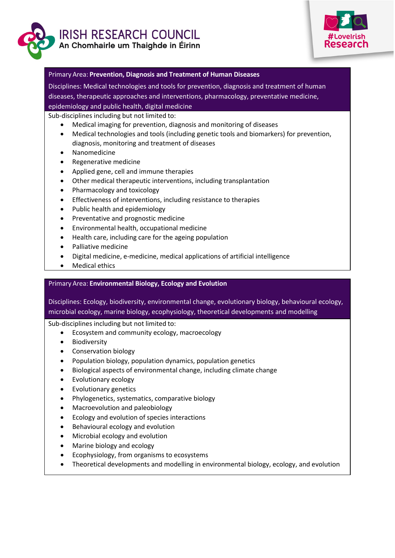



#### Primary Area: **Prevention, Diagnosis and Treatment of Human Diseases**

Disciplines: Medical technologies and tools for prevention, diagnosis and treatment of human diseases, therapeutic approaches and interventions, pharmacology, preventative medicine, epidemiology and public health, digital medicine

Sub-disciplines including but not limited to:

- Medical imaging for prevention, diagnosis and monitoring of diseases
- Medical technologies and tools (including genetic tools and biomarkers) for prevention, diagnosis, monitoring and treatment of diseases
- Nanomedicine
- Regenerative medicine
- Applied gene, cell and immune therapies
- Other medical therapeutic interventions, including transplantation
- Pharmacology and toxicology
- Effectiveness of interventions, including resistance to therapies
- Public health and epidemiology
- Preventative and prognostic medicine
- Environmental health, occupational medicine
- Health care, including care for the ageing population
- Palliative medicine
- Digital medicine, e-medicine, medical applications of artificial intelligence
- Medical ethics

## Primary Area: **Environmental Biology, Ecology and Evolution**

Disciplines: Ecology, biodiversity, environmental change, evolutionary biology, behavioural ecology, microbial ecology, marine biology, ecophysiology, theoretical developments and modelling

- Ecosystem and community ecology, macroecology
- Biodiversity
- Conservation biology
- Population biology, population dynamics, population genetics
- Biological aspects of environmental change, including climate change
- Evolutionary ecology
- Evolutionary genetics
- Phylogenetics, systematics, comparative biology
- Macroevolution and paleobiology
- Ecology and evolution of species interactions
- Behavioural ecology and evolution
- Microbial ecology and evolution
- Marine biology and ecology
- Ecophysiology, from organisms to ecosystems
- Theoretical developments and modelling in environmental biology, ecology, and evolution